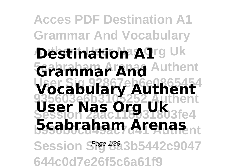**Acces PDF Destination A1 Grammar And Vocabulary**  $\bm{\Phi}$ estination A1rg Uk **Grammar And Authent User Sig 92867eb6e0865454 Vocabulary Authent 935603e6b3105252 Authent Session 2aac118031803fe4 User Nas Org Uk 5cabraham Arenas**<sub>nt</sub> Session S<sup>age 1/38</sup>3b5442c9047 **644c0d7e26f5c6a61f9**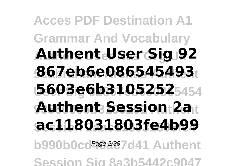**Acces PDF Destination A1 Grammar And Vocabulary Authent User Nas Org Uk Authent User Sig 92 5cabraham Arenas Authent 867eb6e086545493 User Sig 92867eb6e0865454 5603e6b3105252 935603e6b3105252 Authent Authent Session 2a Session 2aac118031803fe4 ac118031803fe4b99** b990b0cd<sup>page 2/387</sup>d41 Authent **Session Sig 8a3b5442c9047**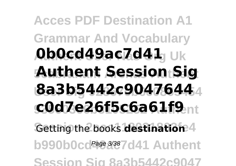**Acces PDF Destination A1 Grammar And Vocabulary**  $\boldsymbol{0}$ b $\boldsymbol{0}$ cd49ac7d41<sub>J Uk</sub> **5cabraham Arenas Authent Authent Session Sig User Sig 92867eb6e0865454 8a3b5442c9047644 935603e6b3105252 Authent c0d7e26f5c6a61f9** Getting the books destination 4 b990b0cd<sup>page 3/38</sup>7d41 Authent **Session Sig 8a3b5442c9047**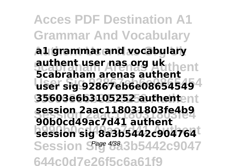**Acces PDF Destination A1 Grammar And Vocabulary Authent User Nas Org Uk a1 grammar and vocabulary 5cabraham Arenas Authent authent user nas org uk User Sig 92867eb6e0865454 user sig 92867eb6e08654549 935603e6b3105252 Authent 35603e6b3105252 authent Session 2aac118031803fe4 session 2aac118031803fe4b9 bession sig 8a3b5442c904764** Session S<sup>age 4/38</sup>3b5442c9047 **644c0d7e26f5c6a61f9 5cabraham arenas authent 90b0cd49ac7d41 authent**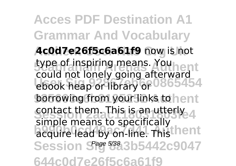**Acces PDF Destination A1 Grammar And Vocabulary** Ac0d7e26f5c6a61f9 now is not type of inspiring means. You hent **User Sig 92867eb6e0865454** ebook heap or library or borrowing from your links to hent contact them. This is an utterly 4 **bimple means to specifically** Session S<sup>age 5/38</sup>3b5442c9047 **644c0d7e26f5c6a61f9** could not lonely going afterward simple means to specifically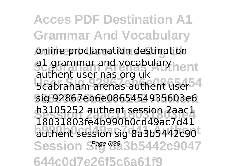**Acces PDF Destination A1 Grammar And Vocabulary Anline proclamation destination 51 grammar and vocabulary hent** stations as that sig one and thent user 4 **935603e6b3105252 Authent** sig 92867eb6e0865454935603e6 **b3105252 authent session 2aac1 b990b0cd49ac7d41 Authent** authent session sig 8a3b5442c90 Session S<sup>age 6/38</sup>3b5442c9047 **644c0d7e26f5c6a61f9** authent user nas org uk 18031803fe4b990b0cd49ac7d41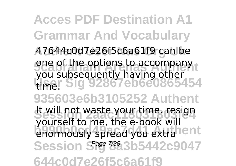**Acces PDF Destination A1 Grammar And Vocabulary** A7644c0d7e26f5c6a61f9 can be one of the options to accompany **User Sig 92867eb6e0865454 935603e6b3105252 Authent** It will not waste your time. resign podison to mo, the close will enormously spread you extra lent Session S<sup>age 738</sup>3b5442c9047 **644c0d7e26f5c6a61f9** you subsequently having other time. yourself to me, the e-book will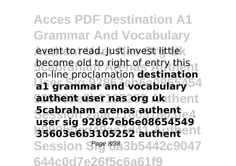**Acces PDF Destination A1 Grammar And Vocabulary** event to read. Just invest little**k become old to right of entry this a1 grammar and vocabulary**<sup>54</sup> **935603e6b3105252 Authent authent user nas org uk Scabraham arenas authent 35603e6b3105252 authent**ent Session S<sup>age 8/38</sup>3b5442c9047 **644c0d7e26f5c6a61f9** on-line proclamation **destination user sig 92867eb6e08654549**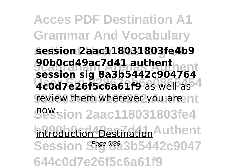**Acces PDF Destination A1 Grammar And Vocabulary Authent User Nas Org Uk session 2aac118031803fe4b9 5cabraham Arenas Authent session sig 8a3b5442c904764 4c0d7e26f5c6a61f9** as well as <sup>4</sup> review them wherever you are nt **Session 2aac118031803fe4** now. introduction Destination Authent Session S<sup>age 9/38</sup> 3b5442c9047 **644c0d7e26f5c6a61f9 90b0cd49ac7d41 authent**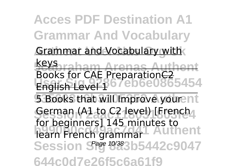**Acces PDF Destination A1 Grammar And Vocabulary**

**Grammar and Vocabulary with** 

**5cabraham Arenas Authent** Books for CAE PreparationC2<br>English Level 16 / CD6C0865454 keys English Level 1

**5 Books that will Improve your nt** Serman (A1 to C2 level) [French<sub>4</sub> learn French grammar Session S<sup>age 10/38</sup>3b5442c9047 **644c0d7e26f5c6a61f9** for beginners] 145 minutes to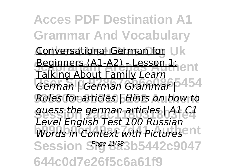**Acces PDF Destination A1 Grammar And Vocabulary** Conversational German for Uk **Beginners (A1-A2) - Lesson 1:** ent **German | German Grammar | 454 935603e6b3105252 Authent** *Rules for articles | Hints on how to* guess the german articles | A1 *C1*<br>*Lavel Faalisk Test* 100 Bussian **before English Foot 200 Massign:** Session S<sup>age 11/38</sup>3b5442c9047 **644c0d7e26f5c6a61f9** Talking About Family *Learn Level English Test 100 Russian*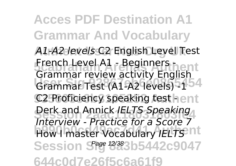**Acces PDF Destination A1 Grammar And Vocabulary Authent User Nas Org Uk** *A1-A2 levels* C2 English Level Test French Level A1 - Beginners <sub>Den</sub>t Grammar Test (A1-A2 levels) -1<sup>54</sup> C2 Proficiency speaking test hent **Derk and Annick** *IELTS Speaking* **b990b0cd49ac7d41 Authent** How I master Vocabulary *IELTS* Session S<sup>age 12/38</sup>3b5442c9047 **644c0d7e26f5c6a61f9** Grammar review activity English *Interview - Practice for a Score 7*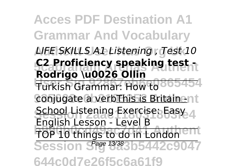**Acces PDF Destination A1 Grammar And Vocabulary Authent User Nas Org Uk** *LIFE SKILLS A1 Listening , Test 10* **5cabraham Arenas Authent C2 Proficiency speaking test -** Turkish Grammar: How to 865454 conjugate a verbThis is Britain - nt School Listening Exercise: Easy 4 **below** things to do in London ent Session S<sup>age 13/38</sup>3b5442c9047 **644c0d7e26f5c6a61f9 Rodrigo \u0026 Ollin** English Lesson - Level B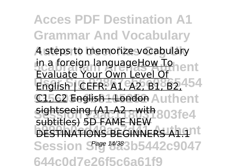**Acces PDF Destination A1 Grammar And Vocabulary A** steps to memorize vocabulary in a foreign languageHow To English | CEFR: A1, A2, B1, B2, <sup>454</sup> C1562 English 1 London Authent **sightseeing (A1-A2 - with 803fe4 BBCCCO, SPINNERS A1.11** Session S<sup>age 14/38</sup>3b5442c9047 **644c0d7e26f5c6a61f9** Evaluate Your Own Level Of subtitles) 5D FAME NEW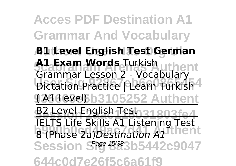**Acces PDF Destination A1 Grammar And Vocabulary Authent User Nas Org Uk B1 Level English Test German A1 Exam Words Turkish uthent Dictation Practice | Learn Turkish 924600663105252 Authent B2 Level English Test 31803fe4 8** (Phase 2a)*Destination A1* thent Session S<sup>age 15/38</sup>3b5442c9047 **644c0d7e26f5c6a61f9** Grammar Lesson 2 - Vocabulary IELTS Life Skills A1 Listening Test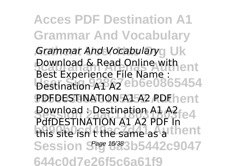**Acces PDF Destination A1 Grammar And Vocabulary** *Grammar And Vocabulary***<sub>g</sub> Uk Download & Read Online with ent Destination A1 A2 eb6e0865454** PDFDESTINATION A1 A2 PDFhent **Download : Destination A1 A2**<br>Destruction A1 A2 BD 25 e4 this site isn't the same as a thent Session S<sup>age 16/38</sup>3b5442c9047 **644c0d7e26f5c6a61f9** Best Experience File Name : Destination A1 A2 PdfDESTINATION A1 A2 PDF In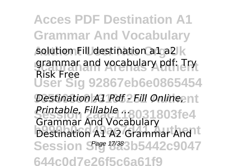**Acces PDF Destination A1 Grammar And Vocabulary** solution Fill destination a1 a2 k grammar and vocabulary pdf: Try **User Sig 92867eb6e0865454 Destination A1 Pdf 2 Fill Online, at Printable, Fillable .... 2021803fe4 bestination A1 A2 Grammar And t** Session S<sup>age 17/38</sup>3b5442c9047 **644c0d7e26f5c6a61f9** Risk Free Grammar And Vocabulary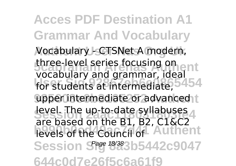**Acces PDF Destination A1 Grammar And Vocabulary Authent User Nas Org Uk** Vocabulary - CTSNet A modern, three-level series focusing on for students at intermediate.<sup>54.54</sup> upper intermediate or advanced t level. The up-to-date syllabuses levels of the Council of Authent Session S<sup>age 18/38</sup>3b5442c9047 **644c0d7e26f5c6a61f9** vocabulary and grammar, ideal for students at intermediate, are based on the B1, B2, C1&C2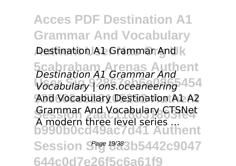**Acces PDF Destination A1 Grammar And Vocabulary Destination A1 Grammar And k 5cabraham Arenas Authent** *Destination A1 Grammar And* **User Sig 92867eb6e0865454** *Vocabulary | ons.oceaneering* **935603e6b3105252 Authent** And Vocabulary Destination A1 A2 Grammar And Vocabulary CTSNet **b990b0cd49ac7d41 Authent** Session S<sup>age 19/38</sup>3b5442c9047 **644c0d7e26f5c6a61f9** A modern three level series ...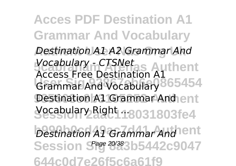**Acces PDF Destination A1 Grammar And Vocabulary Authent User Nas Org Uk** *Destination A1 A2 Grammar And* **5cabraham Arenas Authent** *Vocabulary - CTSNet* **Crammar And Vocabulary 365454** Destination A1 Grammar And ent **Yocabulary Right 18031803fe4** *Destination A1 Grammar And* ent Session S<sup>age 20/38</sup>3b5442c9047 **644c0d7e26f5c6a61f9** Access Free Destination A1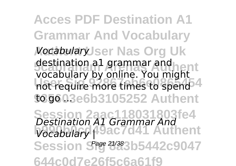**Acces PDF Destination A1 Grammar And Vocabulary Authent User Nas Org Uk** destination all grammar and<br>vocabulary by online. You might not require more times to spend<sup>4</sup> **935603e6b3105252 Authent Session 2aac118031803fe4** *Destination A1 Grammar And* **b990b0cd49ac7d41 Authent** *Vocabulary |* Session S<sup>age 21/38</sup>3b5442c9047 **644c0d7e26f5c6a61f9** destination a1 grammar and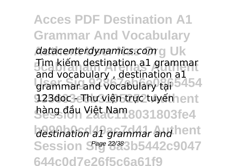**Acces PDF Destination A1 Grammar And Vocabulary** *datacenterdynamics.com* g Uk **5cm Kiem destination all grammar under Sigman Sigman Sigman Sigman Sigman Sigman Sigman Sigman Sigman Sigman Sigman Sigman Sigman Sigman Sigman Sigman Sigman Sigman Sigman Sigman Sigman Sigman Sigman Sigman Sigman Sigman Sigman Sigman Sigman Sigman Sigma** 123doc - Thư viện trực tuyến ent hàng đầu Việt Nam 8031803fe4 destination a1 grammar and hent Session S<sup>age 22/38</sup>3b5442c9047 **644c0d7e26f5c6a61f9** Tìm kiếm destination a1 grammar and vocabulary , destination a1 grammar and vocabulary tại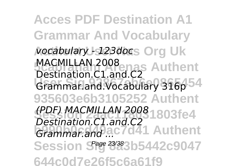**Acces PDF Destination A1 Grammar And Vocabulary Authent User Nas Org Uk** *vocabulary - 123doc* MACMILLAN 2008<br>Destination 21 november Authent **Grammar.and.Vocabulary 316p 54 935603e6b3105252 Authent Session 2aac118031803fe4** *(PDF) MACMILLAN 2008* **b990b0cd49ac7d41 Authent** *Grammar.and ...* Session S<sup>age 23/38</sup>3b5442c9047 **644c0d7e26f5c6a61f9** Destination.C1.and.C2 *Destination.C1.and.C2*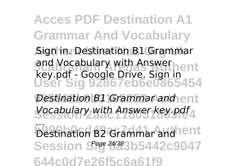**Acces PDF Destination A1 Grammar And Vocabulary Aign in. Destination B1 Grammar** and Vocabulary with Answerhent **User Sig 92867eb6e0865454 Destination B1 Grammar and ent Session 2aac118031803fe4** *Vocabulary with Answer key.pdf* **bestination 82 Grammar and nent** Session S<sup>age 24/38</sup>3b5442c9047 **644c0d7e26f5c6a61f9** key.pdf - Google Drive. Sign in *...* Destination B2 Grammar and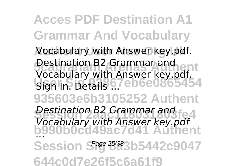**Acces PDF Destination A1 Grammar And Vocabulary** Vocabulary with Answer key.pdf. **Destination B2 Grammar and Article User Signal State 67**eb6e0865454 **935603e6b3105252 Authent Destination B2 Grammar and<br>***Vessives with Anguar Lead* **b990b0cd49ac7d41 Authent** Session S<sup>age 25/38</sup>3b5442c9047 **644c0d7e26f5c6a61f9** Destination B2 Grammar and Vocabulary with Answer key.pdf. Sign In. Details ... *Vocabulary with Answer key.pdf ...*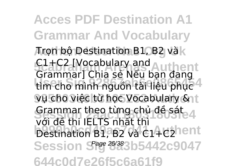**Acces PDF Destination A1 Grammar And Vocabulary Aron bộ Destination B1, B2 và k 5cabraham Arenas Authent** C1+C2 [Vocabulary and tìm cho mình nguồn tài liệu phục <sup>4</sup> vụ cho việc từ học Vocabulary & t Grammar theo từng chủ đề sát<br>Với đề thị IELTC nhất thì **bestination B1, B2 và C1+C2hent** Session S<sup>age 26/38</sup>3b5442c9047 **644c0d7e26f5c6a61f9** Grammar] Chia sẻ Nếu bạn đang với đề thi IELTS nhất thì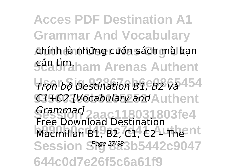**Acces PDF Destination A1 Grammar And Vocabulary** chính <del>l</del>à những cuốn sách mà bạn *5***ền tìm.**<br>Arenas Authent **User Sig 92867eb6e0865454** *Trọn bộ Destination B1, B2 và* **935603e6b3105252 Authent** *C1+C2 [Vocabulary and* **Session 2aac118031803fe4** *Grammar]* Macmillan B1, B2, C1, C2 – The Int Session S<sup>age 27/38</sup>3b5442c9047 **644c0d7e26f5c6a61f9** Free Download Destination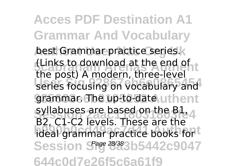**Acces PDF Destination A1 Grammar And Vocabulary** best Grammar practice series.k (Links to download at the end of<br>the post) A modern, three-level **User Sig 92867eb6e0865454** series focusing on vocabulary and grammar. The up-to-date uthent syllabuses are based on the B1, 4 **believe** by the contribution of the discretion of the internal practice books for the internal product of the internal product of the internal product of the internal product of the internal product of the internal produc Session S<sup>age 28/38</sup>3b5442c9047 **644c0d7e26f5c6a61f9** (Links to download at the end of B2, C1-C2 levels. These are the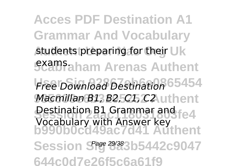**Acces PDF Destination A1 Grammar And Vocabulary** students preparing for their Uk **5camFaham Arenas Authent User Sig 92867eb6e0865454** *Free Download Destination Macmillan B1, B2, C1, C2*, uthent Destination B1 Grammar and fe4 **b990b0cd49ac7d41 Authent** Session S<sup>age 29/38</sup>3b5442c9047 **644c0d7e26f5c6a61f9** Vocabulary with Answer key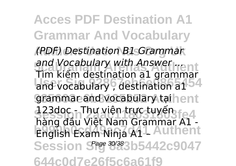**Acces PDF Destination A1 Grammar And Vocabulary Authent User Nas Org Uk** *(PDF) Destination B1 Grammar and Vocabulary with Answer ...***<br>The View destination of average** and vocabulary , destination a1<sup>54</sup> grammar and vocabulary tại hent 123doc - Thư viện trực tuyến<br>123doc - Thư việt Name Cromposite 1 body and the hair branch Authent Session S<sup>age 30/38</sup>3b5442c9047 **644c0d7e26f5c6a61f9** Tìm kiếm destination a1 grammar hàng đầu Việt Nam Grammar A1 -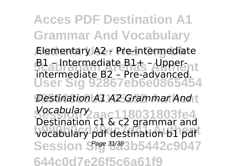**Acces PDF Destination A1 Grammar And Vocabulary Elementary A2 - Pre-intermediate 51** – Intermediate B1+ – Upper-**User Sig 92867eb6e0865454 Destination A1 A2 Grammar And t Session 2aac118031803fe4** *Vocabulary* **bestimation of a constraining and** Session S<sup>age 31/38</sup>3b5442c9047 **644c0d7e26f5c6a61f9** intermediate B2 – Pre-advanced. Destination c1 & c2 grammar and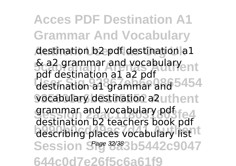**Acces PDF Destination A1 Grammar And Vocabulary** destination b2 pdf destination a1 **5cabraham Arenas Authent** & a2 grammar and vocabulary par destination a1 grammar and 5454 vocabulary destination a2uthent grammar and vocabulary pdf describing places vocabulary list<sup>1</sup> Session S<sup>age 32/38</sup>3b5442c9047 **644c0d7e26f5c6a61f9** pdf destination a1 a2 pdf destination b2 teachers book pdf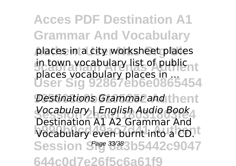**Acces PDF Destination A1 Grammar And Vocabulary Authent User Nas Org Uk** places in a city worksheet places in town vocabulary list of public **User Sig 92867eb6e0865454 Destinations Grammar and thent Session 2aac118031803fe4** *Vocabulary | English Audio Book* **bestimation** Authorized and a CD. Session S<sup>age 33/38</sup>3b5442c9047 **644c0d7e26f5c6a61f9** places vocabulary places in ... Destination A1 A2 Grammar And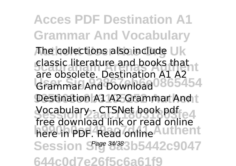**Acces PDF Destination A1 Grammar And Vocabulary The collections also include Uk 5cabraham Arenas Authent** classic literature and books that Grammar And Download<sup>0865454</sup> Destination A1 A2 Grammar And t Vocabulary - CTSNet book pdf<br>*Leo alamned* lighter road police here in PDF. Read online Authent Session S<sup>age 34/38</sup>3b5442c9047 **644c0d7e26f5c6a61f9** are obsolete. Destination A1 A2 free download link or read online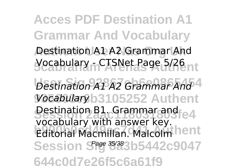**Acces PDF Destination A1 Grammar And Vocabulary Destination A1 A2 Grammar And 5cabraham Arenas Authent** Vocabulary - CTSNet Page 5/26 **User Sig 92867eb6e0865454** *Destination A1 A2 Grammar And* **935603e6b3105252 Authent** *Vocabulary* Destination B1. Grammar and <sub>180</sub>3fe4 **beeberally with dilence resp.**<br>Editorial Macmillan. Malcolm hent Session S<sup>age 35/38</sup>3b5442c9047 **644c0d7e26f5c6a61f9** vocabulary with answer key.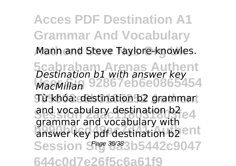**Acces PDF Destination A1 Grammar And Vocabulary** Mann and Steve Taylore-knowles. **5cabraham Arenas Authent User Sig 92867eb6e0865454 935603e6b3105252 Authent** Từ khóa: destination b2 grammar and vocabulary destination b2<br>and vocabulary destruction b2 **b** answer key pdf destination b2 ent Session S<sup>age 36/38</sup>3b5442c9047 **644c0d7e26f5c6a61f9** *Destination b1 with answer key MacMillan* grammar and vocabulary with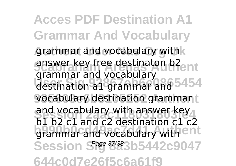**Acces PDF Destination A1 Grammar And Vocabulary** grammar and vocabulary with k answer key free destinaton b2<sub>ent</sub> destination a1 grammar and 5454 vocabulary destination grammant and vocabulary with answer key **be be and conditional conditions** Session S<sup>age 37/38</sup>3b5442c9047 **644c0d7e26f5c6a61f9** grammar and vocabulary b1 b2 c1 and c2 destination c1 c2